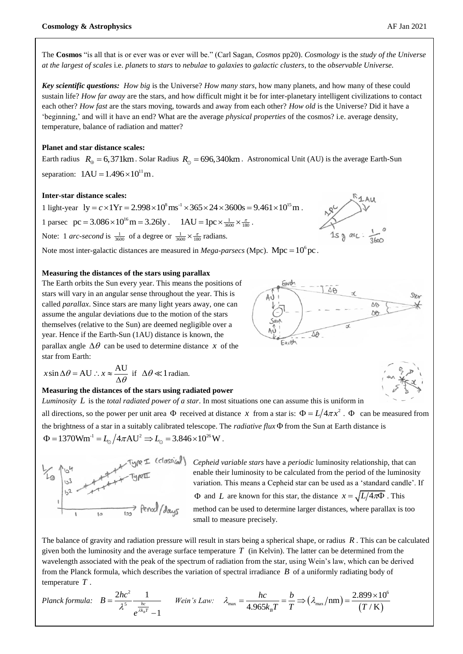The **Cosmos** "is all that is or ever was or ever will be." (Carl Sagan, *Cosmos* pp20). *Cosmology* is the *study of the Universe at the largest of scales* i.e. *planets* to *stars* to *nebulae* to *galaxies* to *galactic clusters*, to the *observable Universe.*

*Key scientific questions: How big* is the Universe? *How many stars*, how many planets, and how many of these could sustain life? *How far away* are the stars, and how difficult might it be for inter-planetary intelligent civilizations to contact each other? *How fast* are the stars moving, towards and away from each other? *How old* is the Universe? Did it have a 'beginning,' and will it have an end? What are the average *physical properties* of the cosmos? i.e. average density, temperature, balance of radiation and matter?

# **Planet and star distance scales:**

Earth radius  $R_{\oplus} = 6,371 \text{km}$ . Solar Radius  $R_{\odot} = 696,340 \text{km}$ . Astronomical Unit (AU) is the average Earth-Sun separation:  $1AU = 1.496 \times 10^{11}$  m.

## **Inter-star distance scales:**

**Inter-star distance scales:**<br>1 light-year  $ly = c \times 1Yr = 2.998 \times 10^8 \text{ ms}^{-1} \times 365 \times 24 \times 3600 \text{s} = 9.461 \times 10^{15} \text{ m}$ .

1 parsec  $pc = 3.086 \times 10^{16} \text{ m} = 3.26 \text{ly}$ .  $1 \text{AU} = 1pc \times \frac{1}{3600} \times \frac{\pi}{180}$ .

Note: 1 *arc-second* is  $\frac{1}{3600}$  of a degree or  $\frac{1}{3600} \times \frac{\pi}{180}$  radians.



# **Measuring the distances of the stars using parallax**

The Earth orbits the Sun every year. This means the positions of stars will vary in an angular sense throughout the year. This is called *parallax*. Since stars are many light years away, one can assume the angular deviations due to the motion of the stars themselves (relative to the Sun) are deemed negligible over a year. Hence if the Earth-Sun (1AU) distance is known, the parallax angle  $\Delta\theta$  can be used to determine distance x of the star from Earth:

$$
x\sin\Delta\theta = AU \therefore x \approx \frac{AU}{\Delta\theta} \text{ if } \Delta\theta \ll 1 \text{ radian.}
$$

### **Measuring the distances of the stars using radiated power**

*Luminosity L* is the *total radiated power of a star*. In most situations one can assume this is uniform in all directions, so the power per unit area  $\Phi$  received at distance x from a star is:  $\Phi = L/4\pi x^2$ .  $\Phi$  can be measured from the brightness of a star in a suitably calibrated telescope. The *radiative flux*  $\Phi$  from the Sun at Earth distance is  $\Phi = 1370$ Wm<sup>-1</sup> =  $L_0 / 4 \pi A U^2 \Rightarrow L_0 = 3.846 \times 10^{26}$  W.



*Cepheid variable stars* have a *periodic* luminosity relationship, that can enable their luminosity to be calculated from the period of the luminosity variation. This means a Cepheid star can be used as a 'standard candle'. If  $\Phi$  and *L* are known for this star, the distance  $x = \sqrt{L/4\pi\Phi}$ . This method can be used to determine larger distances, where parallax is too small to measure precisely.

The balance of gravity and radiation pressure will result in stars being a spherical shape, or radius *R* . This can be calculated given both the luminosity and the average surface temperature  $T$  (in Kelvin). The latter can be determined from the wavelength associated with the peak of the spectrum of radiation from the star, using Wein's law, which can be derived from the Planck formula, which describes the variation of spectral irradiance *B* of a uniformly radiating body of temperature *T* .

temperature T.  
\nPlanck formula: 
$$
B = \frac{2hc^2}{\lambda^5} \frac{1}{e^{\frac{hc}{\lambda k_B T}} - 1}
$$
 Wein's Law:  $\lambda_{max} = \frac{hc}{4.965k_B T} = \frac{b}{T} \Rightarrow (\lambda_{max}/nm) = \frac{2.899 \times 10^6}{(T/K)}$ 





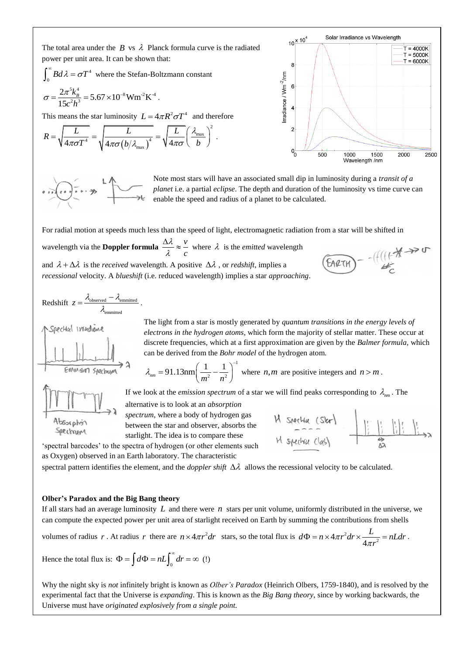The total area under the  $B$  vs  $\lambda$  Planck formula curve is the radiated power per unit area. It can be shown that:

$$
\int_0^\infty Bd\lambda = \sigma T^4 \text{ where the Stefan-Boltzmann constant}
$$

$$
\sigma = \frac{2\pi^5 k_B^4}{15c^2 h^3} = 5.67 \times 10^{-8} \text{Wm}^2 \text{K}^4.
$$

This means the star luminosity 
$$
L = 4\pi R^2 \sigma T^4
$$
 and therefore  
\n
$$
R = \sqrt{\frac{L}{4\pi\sigma T^4}} = \sqrt{\frac{L}{4\pi\sigma (b/A_{\text{max}})^4}} = \sqrt{\frac{L}{4\pi\sigma} \left(\frac{\lambda_{\text{max}}}{b}\right)^2}.
$$



Note most stars will have an associated small dip in luminosity during a *transit of a planet* i.e. a partial *eclipse*. The depth and duration of the luminosity vs time curve can enable the speed and radius of a planet to be calculated.

For radial motion at speeds much less than the speed of light, electromagnetic radiation from a star will be shifted in

wavelength via the **Doppler formula**  $\frac{\Delta \lambda}{\Delta z} \approx \frac{v}{\Delta z}$ *c* λ λ  $\frac{\Delta \lambda}{\Delta z} \approx \frac{v}{\Delta}$  where  $\lambda$  is the *emitted* wavelength and  $\lambda + \Delta \lambda$  is the *received* wavelength. A positive  $\Delta \lambda$ , or *redshift*, implies a *recessional* velocity. A *blueshift* (i.e. reduced wavelength) implies a star *approaching*.

$$
Redshift \t z = \frac{\lambda_{observed} - \lambda_{emmitted}}{\lambda_{emmitted}}.
$$



The light from a star is mostly generated by *quantum transitions in the energy levels of electrons in the hydrogen atoms*, which form the majority of stellar matter. These occur at discrete frequencies, which at a first approximation are given by the *Balmer formula*, which can be derived from the *Bohr model* of the hydrogen atom.

M specha (Slor)

M specha class

1  $\frac{1}{2} - \frac{1}{n^2}$  $\lambda_{nm} = 91.13 \text{nm} \left( \frac{1}{m^2} - \frac{1}{n^2} \right)$  $= 91.13$ nm $\left(\frac{1}{m^2} - \frac{1}{n^2}\right)^{-1}$  where *n*,*m* are positive integers and *n* > *m*.

If we look at the *emission spectrum* of a star we will find peaks corresponding to  $\lambda_{nm}$ . The

alternative is to look at an *absorption* 

*spectrum*, where a body of hydrogen gas between the star and observer, absorbs the starlight. The idea is to compare these

'spectral barcodes' to the spectra of hydrogen (or other elements such as Oxygen) observed in an Earth laboratory. The characteristic

spectral pattern identifies the element, and the *doppler shift*  $\Delta \lambda$  allows the recessional velocity to be calculated.

#### **Olber's Paradox and the Big Bang theory**

If all stars had an average luminosity  $L$  and there were  $n$  stars per unit volume, uniformly distributed in the universe, we can compute the expected power per unit area of starlight received on Earth by summing the contributions from shells

volumes of radius r. At radius r there are  $n \times 4\pi r^2 dr$  stars, so the total flux is  $d\Phi = n \times 4\pi r^2$  $4\pi r^2 dr \times \frac{E}{4\pi r^2}$ 4  $d\Phi = n \times 4\pi r^2 dr \times \frac{L}{4\pi r^2} = nLdr$  $\Phi = n \times 4\pi r^2 dr \times \frac{L}{4\pi r^2} = nL dr.$ 

Hence the total flux is: 
$$
\Phi = \int d\Phi = nL \int_0^\infty dr = \infty
$$
 (!)

Why the night sky is *not* infinitely bright is known as *Olber's Paradox* (Heinrich Olbers, 1759-1840), and is resolved by the experimental fact that the Universe is *expanding*. This is known as the *Big Bang theory*, since by working backwards, the Universe must have *originated explosively from a single point.* 

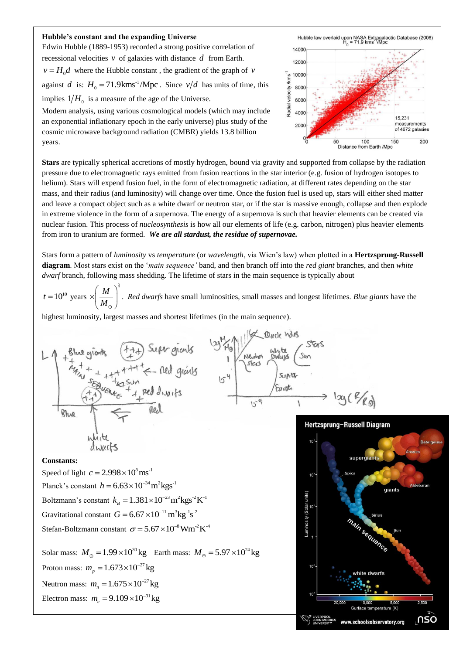### **Hubble's constant and the expanding Universe**

Edwin Hubble (1889-1953) recorded a strong positive correlation of recessional velocities  $\nu$  of galaxies with distance  $d$  from Earth.  $v = H_0 d$  where the Hubble constant, the gradient of the graph of v against *d* is:  $H_0 = 71.9 \text{km} \text{s}^{-1} / \text{Mpc}$ . Since  $v/d$  has units of time, this implies  $1/H_0$  is a measure of the age of the Universe.

Modern analysis, using various cosmological models (which may include an exponential inflationary epoch in the early universe) plus study of the cosmic microwave background radiation (CMBR) yields 13.8 billion years.



**Stars** are typically spherical accretions of mostly hydrogen, bound via gravity and supported from collapse by the radiation pressure due to electromagnetic rays emitted from fusion reactions in the star interior (e.g. fusion of hydrogen isotopes to helium). Stars will expend fusion fuel, in the form of electromagnetic radiation, at different rates depending on the star mass, and their radius (and luminosity) will change over time. Once the fusion fuel is used up, stars will either shed matter and leave a compact object such as a white dwarf or neutron star, or if the star is massive enough, collapse and then explode in extreme violence in the form of a supernova. The energy of a supernova is such that heavier elements can be created via nuclear fusion. This process of *nucleosynthesis* is how all our elements of life (e.g. carbon, nitrogen) plus heavier elements from iron to uranium are formed. *We are all stardust, the residue of supernovae.*

Stars form a pattern of *luminosity* vs *temperature* (or *wavelength*, via Wien's law) when plotted in a **Hertzsprung-Russell diagram**. Most stars exist on the '*main sequence'* band, and then branch off into the *red giant* branches, and then *white dwarf* branch, following mass shedding. The lifetime of stars in the main sequence is typically about

 $t = 10^{10}$  years  $M$ <sup> $\bigg\}^{\frac{5}{2}}$ </sup> *M*  $(M^{\circ})^2$  $\times \left(\frac{R}{M_{\odot}}\right)$ . *Red dwarfs* have small luminosities, small masses and longest lifetimes. *Blue giants* have the

highest luminosity, largest masses and shortest lifetimes (in the main sequence).



#### **Constants:**

Speed of light  $c = 2.998 \times 10^8 \text{ ms}^{-1}$ Planck's constant  $h = 6.63 \times 10^{-34} \text{ m}^2 \text{kg} \text{s}^{-1}$ Boltzmann's constant  $k_B = 1.381 \times 10^{-23} \text{m}^2 \text{kg} \text{s}^2 \text{K}^{-1}$ Gravitational constant  $G = 6.67 \times 10^{-11} \text{ m}^3 \text{kg}^1 \text{s}^2$ Stefan-Boltzmann constant  $\sigma = 5.67 \times 10^{-8}$  Wm<sup>-2</sup>K<sup>-4</sup>

Solar mass:  $M_{\odot} = 1.99 \times 10^{30} \text{kg}$  Earth mass:  $M_{\oplus} = 5.97 \times 10^{24} \text{kg}$ Proton mass:  $m_p = 1.673 \times 10^{-27}$  kg Neutron mass:  $m_n = 1.675 \times 10^{-27}$  kg Electron mass:  $m_e = 9.109 \times 10^{-31}$  kg



1 y ( 8/80)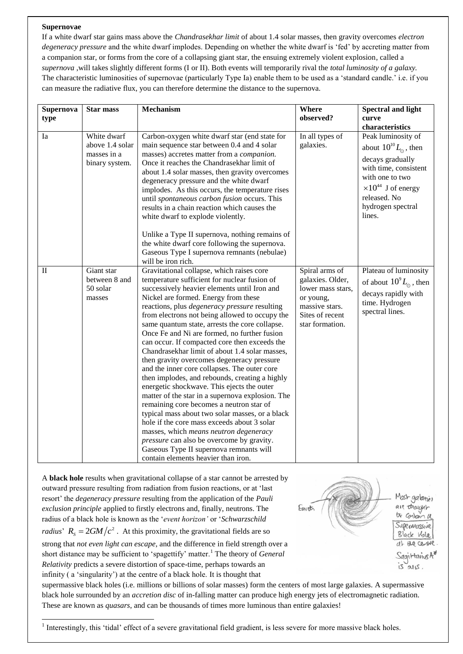# **Supernovae**

-

If a white dwarf star gains mass above the *Chandrasekhar limit* of about 1.4 solar masses, then gravity overcomes *electron degeneracy pressure* and the white dwarf implodes. Depending on whether the white dwarf is 'fed' by accreting matter from a companion star, or forms from the core of a collapsing giant star, the ensuing extremely violent explosion, called a *supernova* ,will takes slightly different forms (I or II). Both events will temporarily rival the *total luminosity of a galaxy.* The characteristic luminosities of supernovae (particularly Type Ia) enable them to be used as a 'standard candle.' i.e. if you can measure the radiative flux, you can therefore determine the distance to the supernova.

| Supernova    | <b>Star mass</b>                                                | Mechanism                                                                                                                                                                                                                                                                                                                                                                                                                                                                                                                                                                                                                                                                                                                                                                                                                                                                                                                                                                                                                                                                 | <b>Where</b>                                                                                                                 | <b>Spectral and light</b>                                                                                                                                                                             |
|--------------|-----------------------------------------------------------------|---------------------------------------------------------------------------------------------------------------------------------------------------------------------------------------------------------------------------------------------------------------------------------------------------------------------------------------------------------------------------------------------------------------------------------------------------------------------------------------------------------------------------------------------------------------------------------------------------------------------------------------------------------------------------------------------------------------------------------------------------------------------------------------------------------------------------------------------------------------------------------------------------------------------------------------------------------------------------------------------------------------------------------------------------------------------------|------------------------------------------------------------------------------------------------------------------------------|-------------------------------------------------------------------------------------------------------------------------------------------------------------------------------------------------------|
| type         |                                                                 |                                                                                                                                                                                                                                                                                                                                                                                                                                                                                                                                                                                                                                                                                                                                                                                                                                                                                                                                                                                                                                                                           | observed?                                                                                                                    | curve                                                                                                                                                                                                 |
|              |                                                                 |                                                                                                                                                                                                                                                                                                                                                                                                                                                                                                                                                                                                                                                                                                                                                                                                                                                                                                                                                                                                                                                                           |                                                                                                                              | characteristics                                                                                                                                                                                       |
| Ia           | White dwarf<br>above 1.4 solar<br>masses in a<br>binary system. | Carbon-oxygen white dwarf star (end state for<br>main sequence star between 0.4 and 4 solar<br>masses) accretes matter from a <i>companion</i> .<br>Once it reaches the Chandrasekhar limit of<br>about 1.4 solar masses, then gravity overcomes<br>degeneracy pressure and the white dwarf<br>implodes. As this occurs, the temperature rises<br>until spontaneous carbon fusion occurs. This<br>results in a chain reaction which causes the<br>white dwarf to explode violently.                                                                                                                                                                                                                                                                                                                                                                                                                                                                                                                                                                                       | In all types of<br>galaxies.                                                                                                 | Peak luminosity of<br>about $10^{10} L_{\odot}$ , then<br>decays gradually<br>with time, consistent<br>with one to two<br>$\times 10^{44}$ J of energy<br>released. No<br>hydrogen spectral<br>lines. |
|              |                                                                 | Unlike a Type II supernova, nothing remains of<br>the white dwarf core following the supernova.<br>Gaseous Type I supernova remnants (nebulae)<br>will be iron rich.                                                                                                                                                                                                                                                                                                                                                                                                                                                                                                                                                                                                                                                                                                                                                                                                                                                                                                      |                                                                                                                              |                                                                                                                                                                                                       |
| $\mathbf{I}$ | Giant star<br>between 8 and<br>50 solar<br>masses               | Gravitational collapse, which raises core<br>temperature sufficient for nuclear fusion of<br>successively heavier elements until Iron and<br>Nickel are formed. Energy from these<br>reactions, plus <i>degeneracy pressure</i> resulting<br>from electrons not being allowed to occupy the<br>same quantum state, arrests the core collapse.<br>Once Fe and Ni are formed, no further fusion<br>can occur. If compacted core then exceeds the<br>Chandrasekhar limit of about 1.4 solar masses,<br>then gravity overcomes degeneracy pressure<br>and the inner core collapses. The outer core<br>then implodes, and rebounds, creating a highly<br>energetic shockwave. This ejects the outer<br>matter of the star in a supernova explosion. The<br>remaining core becomes a neutron star of<br>typical mass about two solar masses, or a black<br>hole if the core mass exceeds about 3 solar<br>masses, which means neutron degeneracy<br>pressure can also be overcome by gravity.<br>Gaseous Type II supernova remnants will<br>contain elements heavier than iron. | Spiral arms of<br>galaxies. Older,<br>lower mass stars,<br>or young,<br>massive stars.<br>Sites of recent<br>star formation. | Plateau of luminosity<br>of about $10^9 L_{\odot}$ , then<br>decays rapidly with<br>time. Hydrogen<br>spectral lines.                                                                                 |

A **black hole** results when gravitational collapse of a star cannot be arrested by outward pressure resulting from radiation from fusion reactions, or at 'last resort' the *degeneracy pressure* resulting from the application of the *Pauli exclusion principle* applied to firstly electrons and, finally, neutrons. The radius of a black hole is known as the '*event horizon'* or '*Schwarzschild radius*<sup>'</sup>  $R_s = 2GM/c^2$ . At this proximity, the gravitational fields are so strong that *not even light can escape*, and the difference in field strength over a short distance may be sufficient to 'spagettify' matter.<sup>1</sup> The theory of *General Relativity* predicts a severe distortion of space-time, perhaps towards an infinity ( a 'singularity') at the centre of a black hole. It is thought that



supermassive black holes (i.e. millions or billions of solar masses) form the centers of most large galaxies. A supermassive black hole surrounded by an *accretion disc* of in-falling matter can produce high energy jets of electromagnetic radiation. These are known as *quasars*, and can be thousands of times more luminous than entire galaxies!

<sup>1</sup> Interestingly, this 'tidal' effect of a severe gravitational field gradient, is less severe for more massive black holes.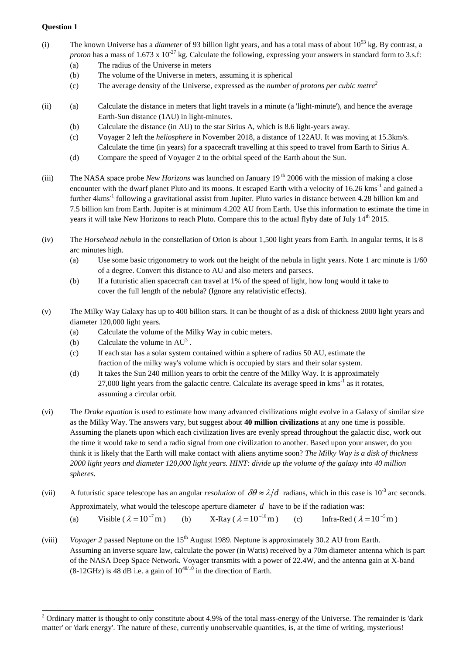# **Question 1**

 $\overline{a}$ 

- (i) The known Universe has a *diameter* of 93 billion light years, and has a total mass of about 10<sup>53</sup> kg. By contrast, a *proton* has a mass of 1.673 x  $10^{-27}$  kg. Calculate the following, expressing your answers in standard form to 3.s.f:
	- (a) The radius of the Universe in meters
	- (b) The volume of the Universe in meters, assuming it is spherical
	- (c) The average density of the Universe, expressed as the *number of protons per cubic metre<sup>2</sup>*
- (ii) (a) Calculate the distance in meters that light travels in a minute (a 'light-minute'), and hence the average Earth-Sun distance (1AU) in light-minutes.
	- (b) Calculate the distance (in AU) to the star Sirius A, which is 8.6 light-years away.
	- (c) Voyager 2 left the *heliosphere* in November 2018, a distance of 122AU. It was moving at 15.3km/s. Calculate the time (in years) for a spacecraft travelling at this speed to travel from Earth to Sirius A.
	- (d) Compare the speed of Voyager 2 to the orbital speed of the Earth about the Sun.
- (iii) The NASA space probe *New Horizons* was launched on January 19 th 2006 with the mission of making a close encounter with the dwarf planet Pluto and its moons. It escaped Earth with a velocity of 16.26 kms<sup>-1</sup> and gained a further 4kms<sup>-1</sup> following a gravitational assist from Jupiter. Pluto varies in distance between 4.28 billion km and 7.5 billion km from Earth. Jupiter is at minimum 4.202 AU from Earth. Use this information to estimate the time in years it will take New Horizons to reach Pluto. Compare this to the actual flyby date of July 14<sup>th</sup> 2015.
- (iv) The *Horsehead nebula* in the constellation of Orion is about 1,500 light years from Earth. In angular terms, it is 8 arc minutes high.
	- (a) Use some basic trigonometry to work out the height of the nebula in light years. Note 1 arc minute is 1/60 of a degree. Convert this distance to AU and also meters and parsecs.
	- (b) If a futuristic alien spacecraft can travel at 1% of the speed of light, how long would it take to cover the full length of the nebula? (Ignore any relativistic effects).
- (v) The Milky Way Galaxy has up to 400 billion stars. It can be thought of as a disk of thickness 2000 light years and diameter 120,000 light years.
	- (a) Calculate the volume of the Milky Way in cubic meters.
	- (b) Calculate the volume in  $AU^3$ .
	- (c) If each star has a solar system contained within a sphere of radius 50 AU, estimate the fraction of the milky way's volume which is occupied by stars and their solar system.
	- (d) It takes the Sun 240 million years to orbit the centre of the Milky Way. It is approximately 27,000 light years from the galactic centre. Calculate its average speed in  $kms<sup>-1</sup>$  as it rotates, assuming a circular orbit.
- (vi) The *Drake equation* is used to estimate how many advanced civilizations might evolve in a Galaxy of similar size as the Milky Way. The answers vary, but suggest about **40 million civilizations** at any one time is possible. Assuming the planets upon which each civilization lives are evenly spread throughout the galactic disc, work out the time it would take to send a radio signal from one civilization to another. Based upon your answer, do you think it is likely that the Earth will make contact with aliens anytime soon? *The Milky Way is a disk of thickness 2000 light years and diameter 120,000 light years. HINT: divide up the volume of the galaxy into 40 million spheres*.
- (vii) A futuristic space telescope has an angular *resolution* of  $\delta\theta \approx \lambda/d$  radians, which in this case is 10<sup>-3</sup> arc seconds. Approximately, what would the telescope aperture diameter  $d$  have to be if the radiation was:
	- (a) Visible ( $\lambda = 10^{-7}$  m (b)  $X-Ray$  ( $\lambda = 10^{-10}$  m (c) Infra-Red ( $\lambda = 10^{-5}$  m)
- (viii) *Voyager 2* passed Neptune on the 15<sup>th</sup> August 1989. Neptune is approximately 30.2 AU from Earth. Assuming an inverse square law, calculate the power (in Watts) received by a 70m diameter antenna which is part of the NASA Deep Space Network. Voyager transmits with a power of 22.4W, and the antenna gain at X-band  $(8-12GHz)$  is 48 dB i.e. a gain of  $10^{48/10}$  in the direction of Earth.

 $2$  Ordinary matter is thought to only constitute about 4.9% of the total mass-energy of the Universe. The remainder is 'dark matter' or 'dark energy'. The nature of these, currently unobservable quantities, is, at the time of writing, mysterious!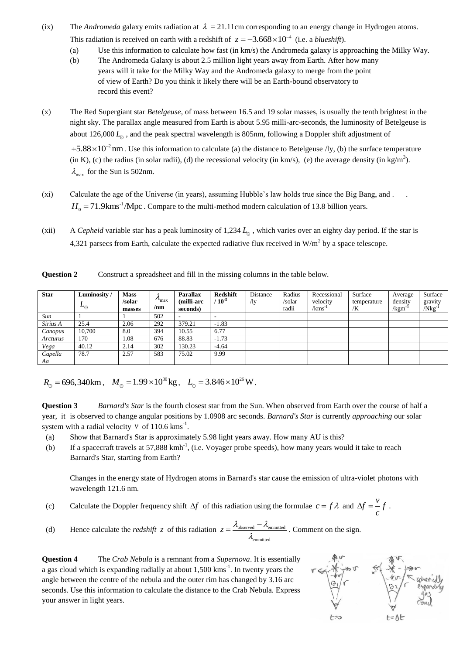- (ix) The *Andromeda* galaxy emits radiation at  $\lambda = 21.11$  cm corresponding to an energy change in Hydrogen atoms. This radiation is received on earth with a redshift of  $z = -3.668 \times 10^{-4}$  (i.e. a *blueshift*).
	- (a) Use this information to calculate how fast (in km/s) the Andromeda galaxy is approaching the Milky Way.
	- (b) The Andromeda Galaxy is about 2.5 million light years away from Earth. After how many years will it take for the Milky Way and the Andromeda galaxy to merge from the point of view of Earth? Do you think it likely there will be an Earth-bound observatory to record this event?
- (x) The Red Supergiant star *Betelgeuse*, of mass between 16.5 and 19 solar masses, is usually the tenth brightest in the night sky. The parallax angle measured from Earth is about 5.95 milli-arc-seconds, the luminosity of Betelgeuse is about  $126,000 L<sub>o</sub>$ , and the peak spectral wavelength is 805nm, following a Doppler shift adjustment of

 $+5.88 \times 10^{-2}$  nm. Use this information to calculate (a) the distance to Betelgeuse /ly, (b) the surface temperature  $(in K)$ , (c) the radius (in solar radii), (d) the recessional velocity (in km/s), (e) the average density (in kg/m<sup>3</sup>).  $\lambda_{\text{max}}$  for the Sun is 502nm.

- (xi) Calculate the age of the Universe (in years), assuming Hubble's law holds true since the Big Bang, and . .  $H_0 = 71.9 \text{km} \text{s}^{-1} / \text{Mpc}$ . Compare to the multi-method modern calculation of 13.8 billion years.
- (xii) A *Cepheid* variable star has a peak luminosity of 1,234 *L* , which varies over an eighty day period. If the star is 4,321 parsecs from Earth, calculate the expected radiative flux received in W/m<sup>2</sup> by a space telescope.

**Question 2** Construct a spreadsheet and fill in the missing columns in the table below.

| <b>Star</b>   | Luminosity/<br>$L_{\odot}$ | <b>Mass</b><br>/solar<br>masses | $v_{\rm max}$<br>/nm | <b>Parallax</b><br>(milli-arc<br>seconds) | <b>Redshift</b><br>$^{\prime}$ 10 $^5$ | Distance<br>/ly | Radius<br>/solar<br>radii | Recessional<br>velocity<br>/kms <sup>-1</sup> | Surface<br>temperature<br>/K | Average<br>density<br>/kgm | Surface<br>gravity<br>$/Nkg^{-1}$ |
|---------------|----------------------------|---------------------------------|----------------------|-------------------------------------------|----------------------------------------|-----------------|---------------------------|-----------------------------------------------|------------------------------|----------------------------|-----------------------------------|
| Sun           |                            |                                 | 502                  |                                           |                                        |                 |                           |                                               |                              |                            |                                   |
| Sirius A      | 25.4                       | 2.06                            | 292                  | 379.21                                    | $-1.83$                                |                 |                           |                                               |                              |                            |                                   |
| Canopus       | 10,700                     | 8.0                             | 394                  | 10.55                                     | 6.77                                   |                 |                           |                                               |                              |                            |                                   |
| Arcturus      | 170                        | 1.08                            | 676                  | 88.83                                     | $-1.73$                                |                 |                           |                                               |                              |                            |                                   |
| Vega          | 40.12                      | 2.14                            | 302                  | 130.23                                    | $-4.64$                                |                 |                           |                                               |                              |                            |                                   |
| Capella<br>Aa | 78.7                       | 2.57                            | 583                  | 75.02                                     | 9.99                                   |                 |                           |                                               |                              |                            |                                   |

 $R_{\odot} = 696,340 \text{km}$ ,  $M_{\odot} = 1.99 \times 10^{30} \text{kg}$ ,  $L_{\odot} = 3.846 \times 10^{26} \text{W}$ .

**Question 3** *Barnard's Star* is the fourth closest star from the Sun. When observed from Earth over the course of half a year, it is observed to change angular positions by 1.0908 arc seconds. *Barnard's Star* is currently *approaching* our solar system with a radial velocity  $v$  of 110.6 kms<sup>-1</sup>.

- (a) Show that Barnard's Star is approximately 5.98 light years away. How many AU is this?
- (b) If a spacecraft travels at 57,888 kmh<sup>-1</sup>, (i.e. Voyager probe speeds), how many years would it take to reach Barnard's Star, starting from Earth?

Changes in the energy state of Hydrogen atoms in Barnard's star cause the emission of ultra-violet photons with wavelength 121.6 nm.

- (c) Calculate the Doppler frequency shift  $\Delta f$  of this radiation using the formulae  $c = f \lambda$  and  $\Delta f = \frac{v}{f}$ *c*  $\Delta f = -f$ .
- (d) Hence calculate the *redshift* z of this radiation  $z = \frac{\lambda_{\text{observed}} \lambda_{\text{emmitted}}}{\lambda_{\text{observed}}}$ emmitted  $z = \frac{\lambda_{\text{observed}} - \lambda_{\text{em}}}{a}$  $\lambda$ .  $=\frac{\lambda_{\text{observed}}-\lambda_{\text{emmitted}}}{\lambda_{\text{c}}$ . Comment on the sign.

**Question 4** The *Crab Nebula* is a remnant from a *Supernova*. It is essentially a gas cloud which is expanding radially at about  $1,500$  kms<sup>-1</sup>. In twenty years the angle between the centre of the nebula and the outer rim has changed by 3.16 arc seconds. Use this information to calculate the distance to the Crab Nebula. Express your answer in light years.

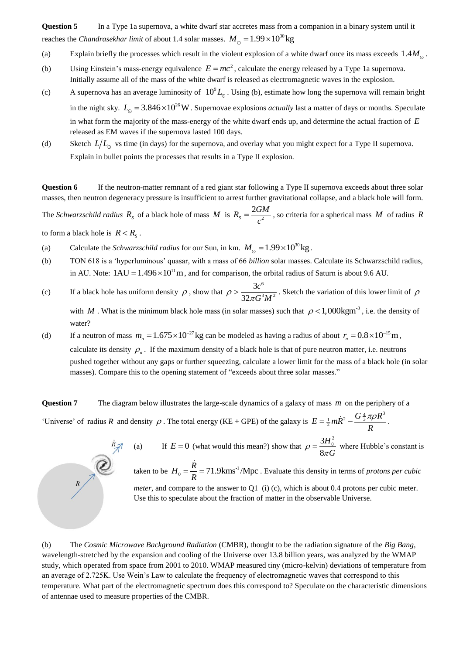**Question 5** In a Type 1a supernova, a white dwarf star accretes mass from a companion in a binary system until it reaches the *Chandrasekhar limit* of about 1.4 solar masses.  $M_{\odot} = 1.99 \times 10^{30}$  kg

- (a) Explain briefly the processes which result in the violent explosion of a white dwarf once its mass exceeds  $1.4M_{\odot}$ .
- (b) Using Einstein's mass-energy equivalence  $E = mc^2$ , calculate the energy released by a Type 1a supernova. Initially assume all of the mass of the white dwarf is released as electromagnetic waves in the explosion.
- (c) A supernova has an average luminosity of  $10^9 L_{\odot}$ . Using (b), estimate how long the supernova will remain bright in the night sky.  $L_0 = 3.846 \times 10^{26}$  W. Supernovae explosions *actually* last a matter of days or months. Speculate in what form the majority of the mass-energy of the white dwarf ends up, and determine the actual fraction of *E* released as EM waves if the supernova lasted 100 days.
- (d) Sketch  $L/L_0$  vs time (in days) for the supernova, and overlay what you might expect for a Type II supernova. Explain in bullet points the processes that results in a Type II explosion.

**Question 6** If the neutron-matter remnant of a red giant star following a Type II supernova exceeds about three solar masses, then neutron degeneracy pressure is insufficient to arrest further gravitational collapse, and a black hole will form.

The *Schwarzschild radius*  $R_s$  of a black hole of mass M is  $R_s = \frac{2GM}{a^2}$ 2  $R_{s} = \frac{2GM}{r^{2}}$ *c*  $=\frac{2GM}{r^2}$ , so criteria for a spherical mass M of radius R

to form a black hole is  $R < R_s$ .

- (a) Calculate the *Schwarzschild radius* for our Sun, in km.  $M_{\odot} = 1.99 \times 10^{30}$  kg.
- (b) TON 618 is a 'hyperluminous' quasar, with a mass of 66 *billion* solar masses. Calculate its Schwarzschild radius, in AU. Note:  $1AU = 1.496 \times 10^{11}$  m, and for comparison, the orbital radius of Saturn is about 9.6 AU.
- (c) If a black hole has uniform density  $\rho$ , show that 6  $3 \mu I^2$ 3 32 *c*  $\rho > \frac{3c}{32\pi G^3 M^2}$ . Sketch the variation of this lower limit of  $\rho$ with M. What is the minimum black hole mass (in solar masses) such that  $\rho < 1,000 \text{kgm}^3$ , i.e. the density of water?
- (d) If a neutron of mass  $m_n = 1.675 \times 10^{-27}$  kg can be modeled as having a radius of about  $r_n = 0.8 \times 10^{-15}$  m, calculate its density  $\rho_n$ . If the maximum density of a black hole is that of pure neutron matter, i.e. neutrons pushed together without any gaps or further squeezing, calculate a lower limit for the mass of a black hole (in solar masses). Compare this to the opening statement of "exceeds about three solar masses."

**Question 7** The diagram below illustrates the large-scale dynamics of a galaxy of mass *m* on the periphery of a 'Universe' of radius R and density  $\rho$ . The total energy (KE + GPE) of the galaxy is  $E = \frac{1}{2}m\dot{R}^2 - \frac{G\frac{4}{3}\pi\rho R^3}{R}$  $=\frac{1}{2}m\dot{R}^2-\frac{G\frac{4}{3}\pi\rho R^3}{R}.$ 



(a) If  $E = 0$  (what would this mean?) show that  $3H_0^2$ 8 *H*  $\rho = \frac{3H_0}{8\pi G}$  where Hubble's constant is

taken to be  $H_0 = \frac{R}{R} = 71.9 \text{km s}^{-1} / \text{Mpc}$  $=\frac{R}{R}$  = 71.9kms<sup>-1</sup>/Mpc. Evaluate this density in terms of *protons per cubic* 

*meter*, and compare to the answer to Q1 (i) (c), which is about 0.4 protons per cubic meter. Use this to speculate about the fraction of matter in the observable Universe.

(b) The *Cosmic Microwave Background Radiation* (CMBR), thought to be the radiation signature of the *Big Bang*, wavelength-stretched by the expansion and cooling of the Universe over 13.8 billion years, was analyzed by the WMAP study, which operated from space from 2001 to 2010. WMAP measured tiny (micro-kelvin) deviations of temperature from an average of 2.725K. Use Wein's Law to calculate the frequency of electromagnetic waves that correspond to this temperature. What part of the electromagnetic spectrum does this correspond to? Speculate on the characteristic dimensions of antennae used to measure properties of the CMBR.